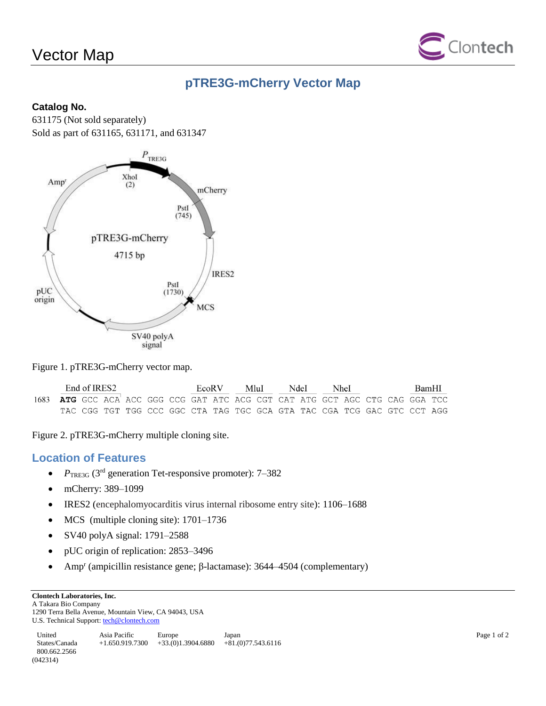# Vector Map



# **pTRE3G-mCherry Vector Map**

### **Catalog No.**

631175 (Not sold separately) Sold as part of 631165, 631171, and 631347



#### Figure 1. pTRE3G-mCherry vector map.

|                                                                              | End of IRES2 |  |  |  |  |  | EcoR V |  | MluI                                                                    |  | NdeI |  | NheI |  | BamHI |  |
|------------------------------------------------------------------------------|--------------|--|--|--|--|--|--------|--|-------------------------------------------------------------------------|--|------|--|------|--|-------|--|
| 1683 ATG GCC ACA ACC GGG CCG GAT ATC ACG CGT CAT ATG GCT AGC CTG CAG GGA TCC |              |  |  |  |  |  |        |  |                                                                         |  |      |  |      |  |       |  |
|                                                                              |              |  |  |  |  |  |        |  | TAC CGG TGT TGG CCC GGC CTA TAG TGC GCA GTA TAC CGA TCG GAC GTC CCT AGG |  |      |  |      |  |       |  |

Figure 2. pTRE3G-mCherry multiple cloning site.

### **Location of Features**

- *P*<sub>TRE3G</sub> (3<sup>rd</sup> generation Tet-responsive promoter): 7–382
- mCherry: 389–1099
- IRES2 (encephalomyocarditis virus internal ribosome entry site): 1106–1688
- MCS (multiple cloning site): 1701–1736
- SV40 polyA signal: 1791–2588
- pUC origin of replication: 2853–3496
- Amp<sup>r</sup> (ampicillin resistance gene; β-lactamase): 3644–4504 (complementary)

**Clontech Laboratories, Inc.** 

A Takara Bio Company 1290 Terra Bella Avenue, Mountain View, CA 94043, USA U.S. Technical Support[: tech@clontech.com](mailto:tech@clontech.com)